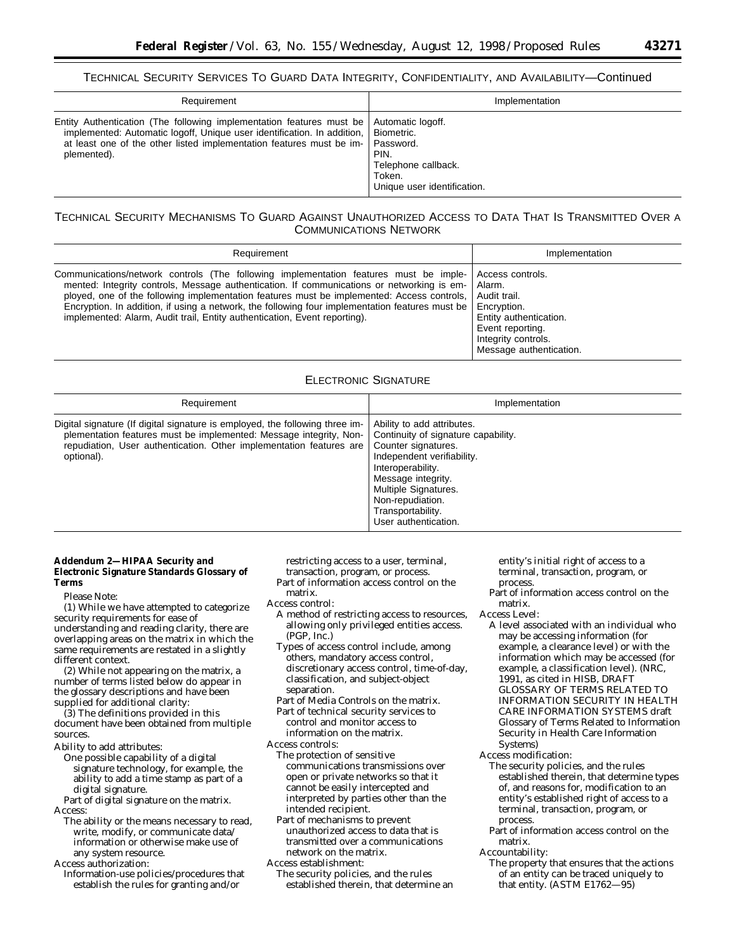| Requirement                                                                                                                                                                                                                            | Implementation                                                                                                       |
|----------------------------------------------------------------------------------------------------------------------------------------------------------------------------------------------------------------------------------------|----------------------------------------------------------------------------------------------------------------------|
| Entity Authentication (The following implementation features must be<br>implemented: Automatic logoff, Unique user identification. In addition,<br>at least one of the other listed implementation features must be im-<br>plemented). | Automatic logoff.<br>Biometric.<br>Password.<br>PIN.<br>Telephone callback.<br>Token.<br>Unique user identification. |

# TECHNICAL SECURITY MECHANISMS TO GUARD AGAINST UNAUTHORIZED ACCESS TO DATA THAT IS TRANSMITTED OVER A COMMUNICATIONS NETWORK

| Requirement                                                                                                                                                                                                                                                                                                                                                                                                                                                       | Implementation                                                                                                                                            |
|-------------------------------------------------------------------------------------------------------------------------------------------------------------------------------------------------------------------------------------------------------------------------------------------------------------------------------------------------------------------------------------------------------------------------------------------------------------------|-----------------------------------------------------------------------------------------------------------------------------------------------------------|
| Communications/network controls (The following implementation features must be imple-<br>mented: Integrity controls, Message authentication. If communications or networking is em-<br>ployed, one of the following implementation features must be implemented: Access controls,<br>Encryption. In addition, if using a network, the following four implementation features must be<br>implemented: Alarm, Audit trail, Entity authentication, Event reporting). | Access controls.<br>Alarm.<br>Audit trail.<br>Encryption.<br>Entity authentication.<br>Event reporting.<br>Integrity controls.<br>Message authentication. |

# ELECTRONIC SIGNATURE

| Requirement                                                                                                                                                                                                                             | Implementation                                                                                                                                                                                                                                             |
|-----------------------------------------------------------------------------------------------------------------------------------------------------------------------------------------------------------------------------------------|------------------------------------------------------------------------------------------------------------------------------------------------------------------------------------------------------------------------------------------------------------|
| Digital signature (If digital signature is employed, the following three im-<br>plementation features must be implemented: Message integrity, Non-<br>repudiation, User authentication. Other implementation features are<br>optional). | Ability to add attributes.<br>Continuity of signature capability.<br>Counter signatures.<br>Independent verifiability.<br>Interoperability.<br>Message integrity.<br>Multiple Signatures.<br>Non-repudiation.<br>Transportability.<br>User authentication. |

### **Addendum 2—HIPAA Security and Electronic Signature Standards Glossary of Terms**

Please Note:

(1) While we have attempted to categorize security requirements for ease of understanding and reading clarity, there are overlapping areas on the matrix in which the same requirements are restated in a slightly different context.

(2) While not appearing on the matrix, a number of terms listed below do appear in the glossary descriptions and have been supplied for additional clarity:

(3) The definitions provided in this document have been obtained from multiple sources.

Ability to add attributes:

One possible capability of a digital signature technology, for example, the ability to add a time stamp as part of a digital signature.

Part of digital signature on the matrix. Access:

The ability or the means necessary to read, write, modify, or communicate data/ information or otherwise make use of any system resource.

Access authorization:

Information-use policies/procedures that establish the rules for granting and/or

restricting access to a user, terminal, transaction, program, or process.

Part of information access control on the matrix.

- Access control:
	- A method of restricting access to resources, allowing only privileged entities access. (PGP, Inc.)
	- Types of access control include, among others, mandatory access control, discretionary access control, time-of-day, classification, and subject-object separation.
	- Part of Media Controls on the matrix. Part of technical security services to
- control and monitor access to information on the matrix.
- Access controls:
	- The protection of sensitive communications transmissions over open or private networks so that it cannot be easily intercepted and interpreted by parties other than the intended recipient.
	- Part of mechanisms to prevent unauthorized access to data that is transmitted over a communications network on the matrix.
- Access establishment:

The security policies, and the rules established therein, that determine an entity's initial right of access to a terminal, transaction, program, or process.

Part of information access control on the matrix.

Access Level:

A level associated with an individual who may be accessing information (for example, a clearance level) or with the information which may be accessed (for example, a classification level). (NRC, 1991, as cited in HISB, DRAFT GLOSSARY OF TERMS RELATED TO INFORMATION SECURITY IN HEALTH CARE INFORMATION SYSTEMS draft Glossary of Terms Related to Information Security in Health Care Information Systems)

Access modification:

- The security policies, and the rules established therein, that determine types of, and reasons for, modification to an entity's established right of access to a terminal, transaction, program, or process.
- Part of information access control on the matrix.
- Accountability:
	- The property that ensures that the actions of an entity can be traced uniquely to that entity. (ASTM E1762—95)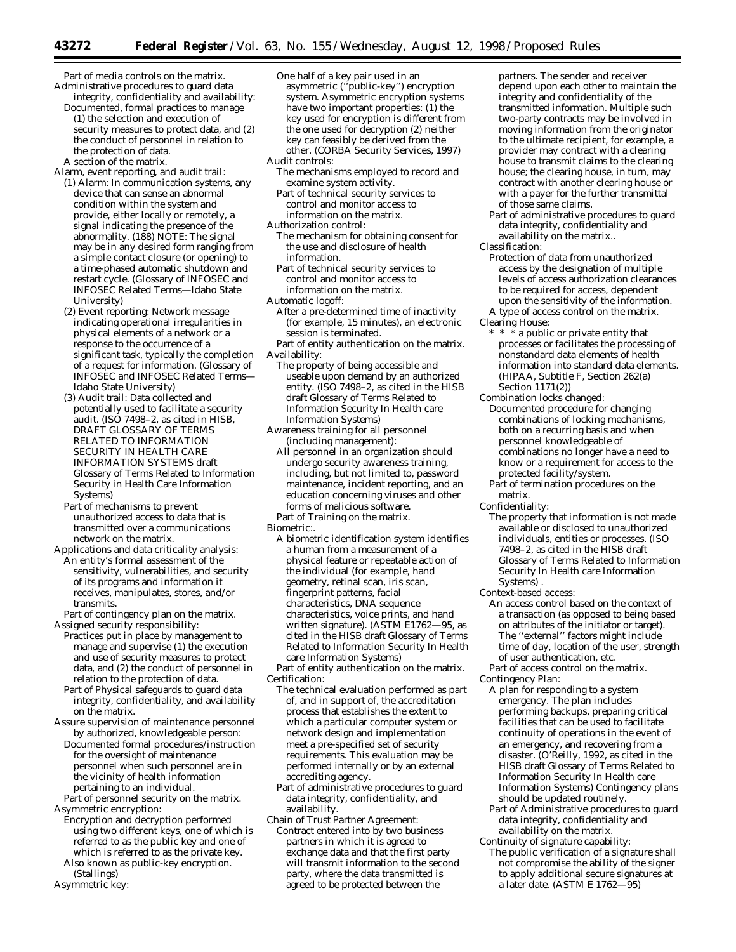Part of media controls on the matrix. Administrative procedures to guard data integrity, confidentiality and availability:

Documented, formal practices to manage (1) the selection and execution of security measures to protect data, and (2) the conduct of personnel in relation to the protection of data. A section of the matrix.

- Alarm, event reporting, and audit trail: (1) Alarm: In communication systems, any device that can sense an abnormal condition within the system and provide, either locally or remotely, a signal indicating the presence of the abnormality. (188) NOTE: The signal may be in any desired form ranging from a simple contact closure (or opening) to a time-phased automatic shutdown and restart cycle. (Glossary of INFOSEC and INFOSEC Related Terms—Idaho State University)
	- (2) Event reporting: Network message indicating operational irregularities in physical elements of a network or a response to the occurrence of a significant task, typically the completion of a request for information. (Glossary of INFOSEC and INFOSEC Related Terms— Idaho State University)
	- (3) Audit trail: Data collected and potentially used to facilitate a security audit. (ISO 7498-2, as cited in HISB, DRAFT GLOSSARY OF TERMS RELATED TO INFORMATION SECURITY IN HEALTH CARE INFORMATION SYSTEMS draft Glossary of Terms Related to Information Security in Health Care Information Systems)
- Part of mechanisms to prevent unauthorized access to data that is transmitted over a communications network on the matrix.
- Applications and data criticality analysis: An entity's formal assessment of the sensitivity, vulnerabilities, and security of its programs and information it receives, manipulates, stores, and/or transmits.

Part of contingency plan on the matrix. Assigned security responsibility:

- Practices put in place by management to manage and supervise (1) the execution and use of security measures to protect data, and (2) the conduct of personnel in relation to the protection of data.
- Part of Physical safeguards to guard data integrity, confidentiality, and availability on the matrix.
- Assure supervision of maintenance personnel by authorized, knowledgeable person:
- Documented formal procedures/instruction for the oversight of maintenance personnel when such personnel are in the vicinity of health information pertaining to an individual.

Part of personnel security on the matrix. Asymmetric encryption:

- Encryption and decryption performed using two different keys, one of which is referred to as the public key and one of which is referred to as the private key.
- Also known as public-key encryption. (Stallings)
- Asymmetric key:
- One half of a key pair used in an asymmetric (''public-key'') encryption system. Asymmetric encryption systems have two important properties: (1) the key used for encryption is different from the one used for decryption (2) neither key can feasibly be derived from the other. (CORBA Security Services, 1997) Audit controls:
- The mechanisms employed to record and examine system activity.
- Part of technical security services to control and monitor access to information on the matrix.
- Authorization control:
	- The mechanism for obtaining consent for the use and disclosure of health information.
	- Part of technical security services to control and monitor access to information on the matrix.
- Automatic logoff:
- After a pre-determined time of inactivity (for example, 15 minutes), an electronic session is terminated.
- Part of entity authentication on the matrix. Availability:
- The property of being accessible and useable upon demand by an authorized entity. (ISO 7498–2, as cited in the HISB draft Glossary of Terms Related to Information Security In Health care Information Systems)
- Awareness training for all personnel (including management):
	- All personnel in an organization should undergo security awareness training, including, but not limited to, password maintenance, incident reporting, and an education concerning viruses and other forms of malicious software.
- Part of Training on the matrix.
- Biometric:.
	- A biometric identification system identifies a human from a measurement of a physical feature or repeatable action of the individual (for example, hand geometry, retinal scan, iris scan, fingerprint patterns, facial characteristics, DNA sequence characteristics, voice prints, and hand written signature). (ASTM E1762—95, as cited in the HISB draft Glossary of Terms Related to Information Security In Health care Information Systems)

Part of entity authentication on the matrix. Certification:

- The technical evaluation performed as part of, and in support of, the accreditation process that establishes the extent to which a particular computer system or network design and implementation meet a pre-specified set of security requirements. This evaluation may be performed internally or by an external accrediting agency.
- Part of administrative procedures to guard data integrity, confidentiality, and availability.
- Chain of Trust Partner Agreement: Contract entered into by two business partners in which it is agreed to exchange data and that the first party will transmit information to the second party, where the data transmitted is agreed to be protected between the

partners. The sender and receiver depend upon each other to maintain the integrity and confidentiality of the transmitted information. Multiple such two-party contracts may be involved in moving information from the originator to the ultimate recipient, for example, a provider may contract with a clearing house to transmit claims to the clearing house; the clearing house, in turn, may contract with another clearing house or with a payer for the further transmittal of those same claims.

- Part of administrative procedures to guard data integrity, confidentiality and availability on the matrix..
- Classification:
- Protection of data from unauthorized access by the designation of multiple levels of access authorization clearances to be required for access, dependent upon the sensitivity of the information. A type of access control on the matrix.
- Clearing House:
	- \* \* \* a public or private entity that processes or facilitates the processing of nonstandard data elements of health information into standard data elements. (HIPAA, Subtitle F, Section 262(a) Section 1171(2))

Combination locks changed:

- Documented procedure for changing combinations of locking mechanisms, both on a recurring basis and when personnel knowledgeable of combinations no longer have a need to know or a requirement for access to the protected facility/system.
- Part of termination procedures on the matrix.

Confidentiality:

- The property that information is not made available or disclosed to unauthorized individuals, entities or processes. (ISO 7498–2, as cited in the HISB draft Glossary of Terms Related to Information Security In Health care Information Systems) .
- Context-based access:
	- An access control based on the context of a transaction (as opposed to being based on attributes of the initiator or target). The ''external'' factors might include time of day, location of the user, strength of user authentication, etc.
	- Part of access control on the matrix.

Contingency Plan:

- A plan for responding to a system emergency. The plan includes performing backups, preparing critical facilities that can be used to facilitate continuity of operations in the event of an emergency, and recovering from a disaster. (O'Reilly, 1992, as cited in the HISB draft Glossary of Terms Related to Information Security In Health care Information Systems) Contingency plans should be updated routinely.
- Part of Administrative procedures to guard data integrity, confidentiality and availability on the matrix.
- Continuity of signature capability:
	- The public verification of a signature shall not compromise the ability of the signer to apply additional secure signatures at a later date. (ASTM E 1762—95)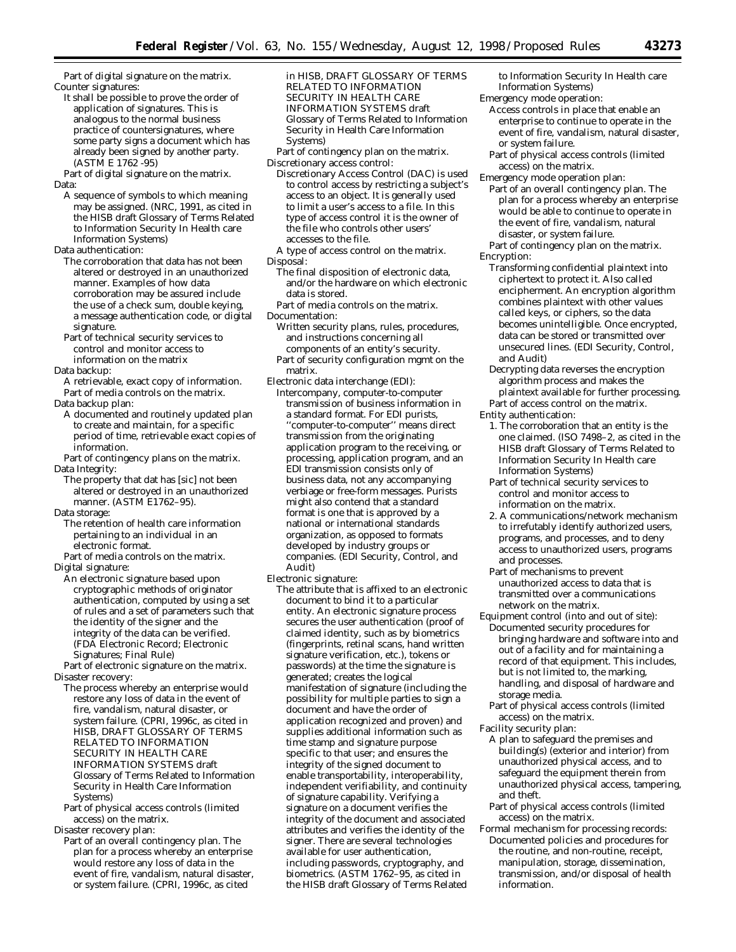Part of digital signature on the matrix. Counter signatures:

It shall be possible to prove the order of application of signatures. This is analogous to the normal business practice of countersignatures, where some party signs a document which has already been signed by another party. (ASTM E 1762 -95)

Part of digital signature on the matrix. Data:

A sequence of symbols to which meaning may be assigned. (NRC, 1991, as cited in the HISB draft Glossary of Terms Related to Information Security In Health care Information Systems)

Data authentication:

- The corroboration that data has not been altered or destroyed in an unauthorized manner. Examples of how data corroboration may be assured include the use of a check sum, double keying, a message authentication code, or digital signature.
- Part of technical security services to control and monitor access to information on the matrix
- Data backup:

A retrievable, exact copy of information. Part of media controls on the matrix.

- Data backup plan:
- A documented and routinely updated plan to create and maintain, for a specific period of time, retrievable exact copies of information.

Part of contingency plans on the matrix. Data Integrity:

- The property that dat has [sic] not been altered or destroyed in an unauthorized manner. (ASTM E1762–95).
- Data storage:
- The retention of health care information pertaining to an individual in an electronic format.

Part of media controls on the matrix. Digital signature:

An electronic signature based upon cryptographic methods of originator authentication, computed by using a set of rules and a set of parameters such that the identity of the signer and the integrity of the data can be verified. (FDA Electronic Record; Electronic Signatures; Final Rule)

Part of electronic signature on the matrix. Disaster recovery:

- The process whereby an enterprise would restore any loss of data in the event of fire, vandalism, natural disaster, or system failure. (CPRI, 1996c, as cited in HISB, DRAFT GLOSSARY OF TERMS RELATED TO INFORMATION SECURITY IN HEALTH CARE INFORMATION SYSTEMS draft Glossary of Terms Related to Information Security in Health Care Information Systems)
- Part of physical access controls (limited access) on the matrix.

Disaster recovery plan:

Part of an overall contingency plan. The plan for a process whereby an enterprise would restore any loss of data in the event of fire, vandalism, natural disaster, or system failure. (CPRI, 1996c, as cited

in HISB, DRAFT GLOSSARY OF TERMS RELATED TO INFORMATION SECURITY IN HEALTH CARE INFORMATION SYSTEMS draft Glossary of Terms Related to Information Security in Health Care Information Systems)

Part of contingency plan on the matrix. Discretionary access control:

- Discretionary Access Control (DAC) is used to control access by restricting a subject's access to an object. It is generally used to limit a user's access to a file. In this type of access control it is the owner of the file who controls other users' accesses to the file.
- A type of access control on the matrix. Disposal:
	- The final disposition of electronic data, and/or the hardware on which electronic data is stored.
- Part of media controls on the matrix. Documentation:
	- Written security plans, rules, procedures, and instructions concerning all components of an entity's security.
- Part of security configuration mgmt on the matrix.
- Electronic data interchange (EDI):
	- Intercompany, computer-to-computer transmission of business information in a standard format. For EDI purists, ''computer-to-computer'' means direct transmission from the originating application program to the receiving, or processing, application program, and an EDI transmission consists only of business data, not any accompanying verbiage or free-form messages. Purists might also contend that a standard format is one that is approved by a national or international standards organization, as opposed to formats developed by industry groups or companies. (EDI Security, Control, and Audit)
- Electronic signature:
	- The attribute that is affixed to an electronic document to bind it to a particular entity. An electronic signature process secures the user authentication (proof of claimed identity, such as by biometrics (fingerprints, retinal scans, hand written signature verification, etc.), tokens or passwords) at the time the signature is generated; creates the logical manifestation of signature (including the possibility for multiple parties to sign a document and have the order of application recognized and proven) and supplies additional information such as time stamp and signature purpose specific to that user; and ensures the integrity of the signed document to enable transportability, interoperability, independent verifiability, and continuity of signature capability. Verifying a signature on a document verifies the integrity of the document and associated attributes and verifies the identity of the signer. There are several technologies available for user authentication, including passwords, cryptography, and biometrics. (ASTM 1762–95, as cited in the HISB draft Glossary of Terms Related
- to Information Security In Health care Information Systems)
- Emergency mode operation: Access controls in place that enable an
	- enterprise to continue to operate in the event of fire, vandalism, natural disaster, or system failure.
	- Part of physical access controls (limited access) on the matrix.
- Emergency mode operation plan:
	- Part of an overall contingency plan. The plan for a process whereby an enterprise would be able to continue to operate in the event of fire, vandalism, natural disaster, or system failure.
- Part of contingency plan on the matrix. Encryption:
	- Transforming confidential plaintext into ciphertext to protect it. Also called encipherment. An encryption algorithm combines plaintext with other values called keys, or ciphers, so the data becomes unintelligible. Once encrypted, data can be stored or transmitted over unsecured lines. (EDI Security, Control, and Audit)
	- Decrypting data reverses the encryption algorithm process and makes the plaintext available for further processing. Part of access control on the matrix.

Entity authentication:

- 1. The corroboration that an entity is the one claimed. (ISO 7498–2, as cited in the HISB draft Glossary of Terms Related to Information Security In Health care Information Systems)
- Part of technical security services to control and monitor access to information on the matrix.
- 2. A communications/network mechanism to irrefutably identify authorized users, programs, and processes, and to deny access to unauthorized users, programs and processes.
- Part of mechanisms to prevent unauthorized access to data that is transmitted over a communications network on the matrix.
- Equipment control (into and out of site): Documented security procedures for bringing hardware and software into and out of a facility and for maintaining a record of that equipment. This includes, but is not limited to, the marking, handling, and disposal of hardware and storage media.
- Part of physical access controls (limited access) on the matrix.
- Facility security plan:
	- A plan to safeguard the premises and building(s) (exterior and interior) from unauthorized physical access, and to safeguard the equipment therein from unauthorized physical access, tampering, and theft.
	- Part of physical access controls (limited access) on the matrix.
- Formal mechanism for processing records: Documented policies and procedures for the routine, and non-routine, receipt, manipulation, storage, dissemination, transmission, and/or disposal of health information.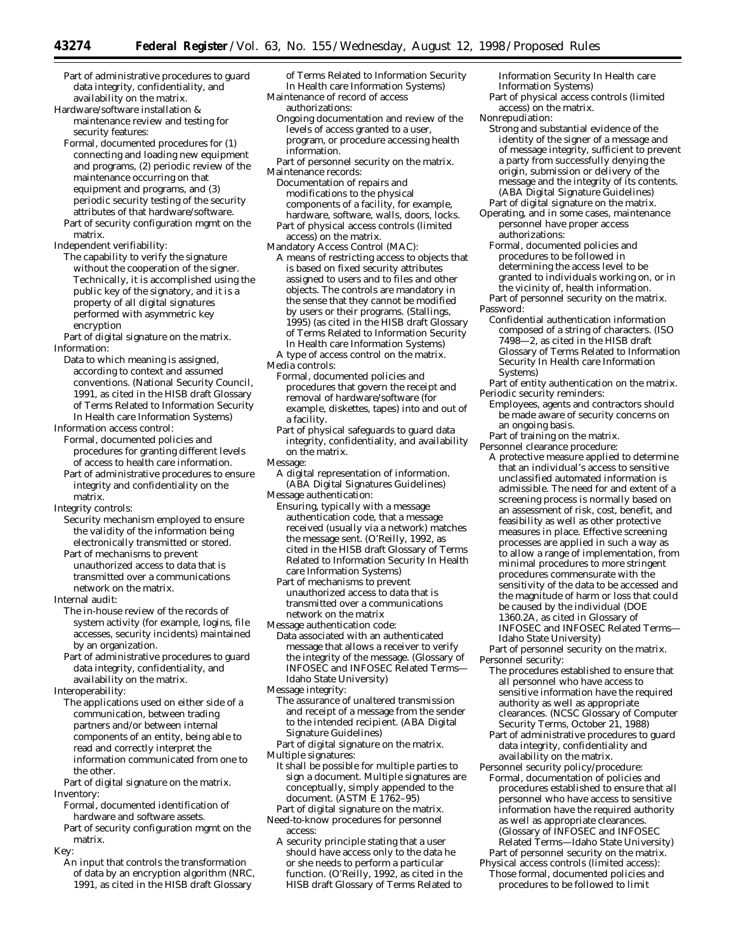Part of administrative procedures to guard data integrity, confidentiality, and availability on the matrix.

Hardware/software installation & maintenance review and testing for security features:

- Formal, documented procedures for (1) connecting and loading new equipment and programs, (2) periodic review of the maintenance occurring on that equipment and programs, and (3) periodic security testing of the security attributes of that hardware/software. Part of security configuration mgmt on the
- matrix.

Independent verifiability:

The capability to verify the signature without the cooperation of the signer. Technically, it is accomplished using the public key of the signatory, and it is a property of all digital signatures performed with asymmetric key encryption

Part of digital signature on the matrix. Information:

Data to which meaning is assigned, according to context and assumed conventions. (National Security Council, 1991, as cited in the HISB draft Glossary of Terms Related to Information Security In Health care Information Systems)

Information access control:

- Formal, documented policies and procedures for granting different levels of access to health care information.
- Part of administrative procedures to ensure integrity and confidentiality on the matrix.

Integrity controls:

- Security mechanism employed to ensure the validity of the information being electronically transmitted or stored.
- Part of mechanisms to prevent unauthorized access to data that is transmitted over a communications network on the matrix.

Internal audit:

- The in-house review of the records of system activity (for example, logins, file accesses, security incidents) maintained by an organization.
- Part of administrative procedures to guard data integrity, confidentiality, and availability on the matrix.

Interoperability:

The applications used on either side of a communication, between trading partners and/or between internal components of an entity, being able to read and correctly interpret the information communicated from one to the other.

Part of digital signature on the matrix. Inventory:

- Formal, documented identification of hardware and software assets.
- Part of security configuration mgmt on the matrix.
- Key:
	- An input that controls the transformation of data by an encryption algorithm (NRC, 1991, as cited in the HISB draft Glossary

of Terms Related to Information Security In Health care Information Systems)

- Maintenance of record of access authorizations:
	- Ongoing documentation and review of the levels of access granted to a user, program, or procedure accessing health information.
- Part of personnel security on the matrix.
- Maintenance records: Documentation of repairs and modifications to the physical
	- components of a facility, for example, hardware, software, walls, doors, locks. Part of physical access controls (limited
- access) on the matrix. Mandatory Access Control (MAC):
- A means of restricting access to objects that is based on fixed security attributes assigned to users and to files and other objects. The controls are mandatory in the sense that they cannot be modified by users or their programs. (Stallings, 1995) (as cited in the HISB draft Glossary of Terms Related to Information Security In Health care Information Systems)
- A type of access control on the matrix. Media controls:
- Formal, documented policies and procedures that govern the receipt and removal of hardware/software (for example, diskettes, tapes) into and out of
- a facility. Part of physical safeguards to guard data integrity, confidentiality, and availability on the matrix.
- Message:
- A digital representation of information. (ABA Digital Signatures Guidelines)
- Message authentication:
- Ensuring, typically with a message authentication code, that a message received (usually via a network) matches the message sent. (O'Reilly, 1992, as cited in the HISB draft Glossary of Terms Related to Information Security In Health care Information Systems)

Part of mechanisms to prevent unauthorized access to data that is transmitted over a communications network on the matrix

- Message authentication code: Data associated with an authenticated message that allows a receiver to verify the integrity of the message. (Glossary of INFOSEC and INFOSEC Related Terms— Idaho State University)
- Message integrity:
- The assurance of unaltered transmission and receipt of a message from the sender to the intended recipient. (ABA Digital Signature Guidelines)

Part of digital signature on the matrix. Multiple signatures:

It shall be possible for multiple parties to sign a document. Multiple signatures are conceptually, simply appended to the document. (ASTM E 1762–95)

- Part of digital signature on the matrix. Need-to-know procedures for personnel access:
- A security principle stating that a user should have access only to the data he or she needs to perform a particular function. (O'Reilly, 1992, as cited in the HISB draft Glossary of Terms Related to

Information Security In Health care Information Systems)

Part of physical access controls (limited access) on the matrix.

Nonrepudiation:

- Strong and substantial evidence of the identity of the signer of a *message* and of message integrity, sufficient to prevent a party from successfully denying the origin, submission or delivery of the message and the integrity of its contents. (ABA Digital Signature Guidelines) Part of digital signature on the matrix.
- Operating, and in some cases, maintenance personnel have proper access authorizations:
	- Formal, documented policies and procedures to be followed in determining the access level to be granted to individuals working on, or in the vicinity of, health information. Part of personnel security on the matrix.
- Password:
	- Confidential authentication information composed of a string of characters. (ISO 7498—2, as cited in the HISB draft Glossary of Terms Related to Information Security In Health care Information Systems)
- Part of entity authentication on the matrix. Periodic security reminders:
- Employees, agents and contractors should be made aware of security concerns on an ongoing basis.
- Part of training on the matrix.
- Personnel clearance procedure:
	- A protective measure applied to determine that an individual's access to sensitive unclassified automated information is admissible. The need for and extent of a screening process is normally based on an assessment of risk, cost, benefit, and feasibility as well as other protective measures in place. Effective screening processes are applied in such a way as to allow a range of implementation, from minimal procedures to more stringent procedures commensurate with the sensitivity of the data to be accessed and the magnitude of harm or loss that could be caused by the individual (DOE 1360.2A, as cited in Glossary of INFOSEC and INFOSEC Related Terms— Idaho State University)

Part of personnel security on the matrix. Personnel security:

- The procedures established to ensure that all personnel who have access to sensitive information have the required authority as well as appropriate clearances. (NCSC Glossary of Computer Security Terms, October 21, 1988)
- Part of administrative procedures to guard data integrity, confidentiality and availability on the matrix.
- Personnel security policy/procedure: Formal, documentation of policies and procedures established to ensure that all personnel who have access to sensitive information have the required authority as well as appropriate clearances. (Glossary of INFOSEC and INFOSEC Related Terms—Idaho State University)

Part of personnel security on the matrix. Physical access controls (limited access): Those formal, documented policies and

procedures to be followed to limit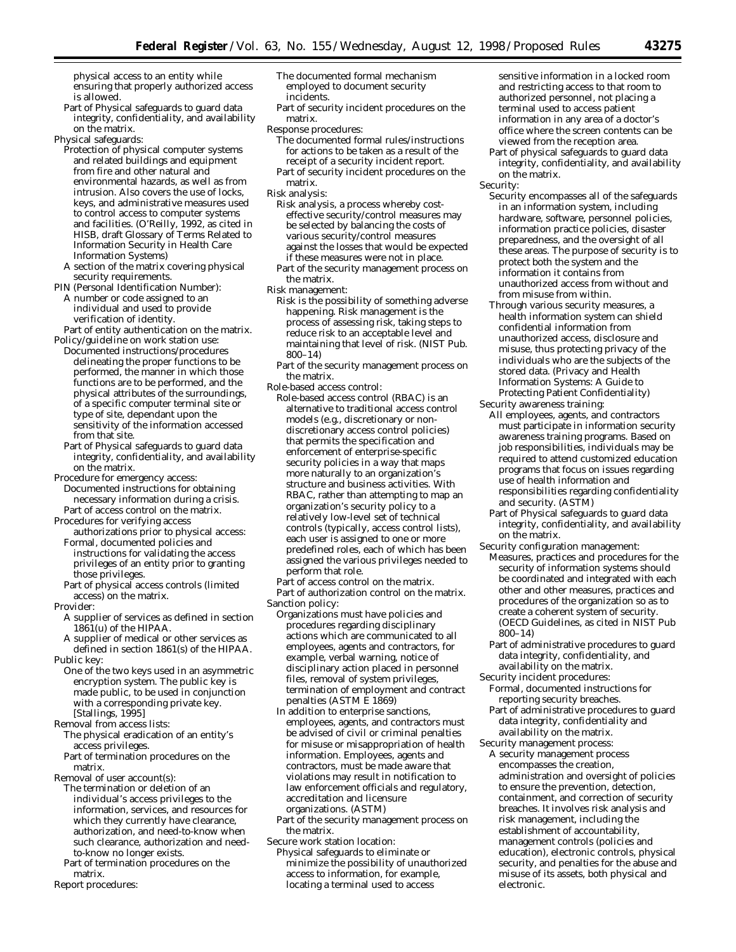physical access to an entity while ensuring that properly authorized access is allowed.

Part of Physical safeguards to guard data integrity, confidentiality, and availability on the matrix.

Physical safeguards:

- Protection of physical computer systems and related buildings and equipment from fire and other natural and environmental hazards, as well as from intrusion. Also covers the use of locks, keys, and administrative measures used to control access to computer systems and facilities. (O'Reilly, 1992, as cited in HISB, draft Glossary of Terms Related to Information Security in Health Care Information Systems)
- A section of the matrix covering physical security requirements.
- PIN (Personal Identification Number):
- A number or code assigned to an individual and used to provide verification of identity.

Part of entity authentication on the matrix. Policy/guideline on work station use:

- Documented instructions/procedures delineating the proper functions to be performed, the manner in which those functions are to be performed, and the physical attributes of the surroundings, of a specific computer terminal site or type of site, dependant upon the sensitivity of the information accessed from that site.
- Part of Physical safeguards to guard data integrity, confidentiality, and availability on the matrix.
- Procedure for emergency access: Documented instructions for obtaining necessary information during a crisis. Part of access control on the matrix.
- Procedures for verifying access
- authorizations prior to physical access: Formal, documented policies and instructions for validating the access privileges of an entity prior to granting those privileges.
- Part of physical access controls (limited access) on the matrix.

Provider:

- A supplier of services as defined in section 1861(u) of the HIPAA.
- A supplier of medical or other services as defined in section 1861(s) of the HIPAA. Public key:
- One of the two keys used in an asymmetric encryption system. The public key is made public, to be used in conjunction with a corresponding private key. [Stallings, 1995]

Removal from access lists:

The physical eradication of an entity's access privileges.

Part of termination procedures on the matrix.

- Removal of user account(s): The termination or deletion of an individual's access privileges to the information, services, and resources for which they currently have clearance, authorization, and need-to-know when such clearance, authorization and needto-know no longer exists.
- Part of termination procedures on the matrix.

Report procedures:

- The documented formal mechanism employed to document security incidents.
- Part of security incident procedures on the matrix.
- Response procedures:
	- The documented formal rules/instructions for actions to be taken as a result of the receipt of a security incident report.
	- Part of security incident procedures on the matrix.
- Risk analysis:
- Risk analysis, a process whereby costeffective security/control measures may be selected by balancing the costs of various security/control measures against the losses that would be expected if these measures were not in place.

Part of the security management process on the matrix.

- Risk management:
	- Risk is the possibility of something adverse happening. Risk management is the process of assessing risk, taking steps to reduce risk to an acceptable level and maintaining that level of risk. (NIST Pub. 800–14)
	- Part of the security management process on the matrix.
- Role-based access control:
- Role-based access control (RBAC) is an alternative to traditional access control models (e.g., discretionary or nondiscretionary access control policies) that permits the specification and enforcement of enterprise-specific security policies in a way that maps more naturally to an organization's structure and business activities. With RBAC, rather than attempting to map an organization's security policy to a relatively low-level set of technical controls (typically, access control lists), each user is assigned to one or more predefined roles, each of which has been assigned the various privileges needed to perform that role.

Part of access control on the matrix. Part of authorization control on the matrix. Sanction policy:

- Organizations must have policies and procedures regarding disciplinary actions which are communicated to all employees, agents and contractors, for example, verbal warning, notice of disciplinary action placed in personnel files, removal of system privileges, termination of employment and contract penalties (ASTM E 1869)
- In addition to enterprise sanctions, employees, agents, and contractors must be advised of civil or criminal penalties for misuse or misappropriation of health information. Employees, agents and contractors, must be made aware that violations may result in notification to law enforcement officials and regulatory, accreditation and licensure organizations. (ASTM)
- Part of the security management process on the matrix.

Secure work station location:

Physical safeguards to eliminate or minimize the possibility of unauthorized access to information, for example, locating a terminal used to access

sensitive information in a locked room and restricting access to that room to authorized personnel, not placing a terminal used to access patient information in any area of a doctor's office where the screen contents can be viewed from the reception area.

Part of physical safeguards to guard data integrity, confidentiality, and availability on the matrix.

Security:

- Security encompasses all of the safeguards in an information system, including hardware, software, personnel policies, information practice policies, disaster preparedness, and the oversight of all these areas. The purpose of security is to protect both the system and the information it contains from unauthorized access from without and from misuse from within.
- Through various security measures, a health information system can shield confidential information from unauthorized access, disclosure and misuse, thus protecting privacy of the individuals who are the subjects of the stored data. (Privacy and Health Information Systems: A Guide to Protecting Patient Confidentiality)
- Security awareness training: All employees, agents, and contractors must participate in information security awareness training programs. Based on job responsibilities, individuals may be required to attend customized education programs that focus on issues regarding use of health information and responsibilities regarding confidentiality and security. (ASTM)
- Part of Physical safeguards to guard data integrity, confidentiality, and availability on the matrix.

Security configuration management:

- Measures, practices and procedures for the security of information systems should be coordinated and integrated with each other and other measures, practices and procedures of the organization so as to create a coherent system of security. (OECD Guidelines, as cited in NIST Pub 800–14)
- Part of administrative procedures to guard data integrity, confidentiality, and availability on the matrix.

Security incident procedures: Formal, documented instructions for reporting security breaches.

Part of administrative procedures to guard data integrity, confidentiality and availability on the matrix.

Security management process:

A security management process encompasses the creation, administration and oversight of policies to ensure the prevention, detection, containment, and correction of security breaches. It involves risk analysis and risk management, including the establishment of accountability, management controls (policies and education), electronic controls, physical security, and penalties for the abuse and misuse of its assets, both physical and electronic.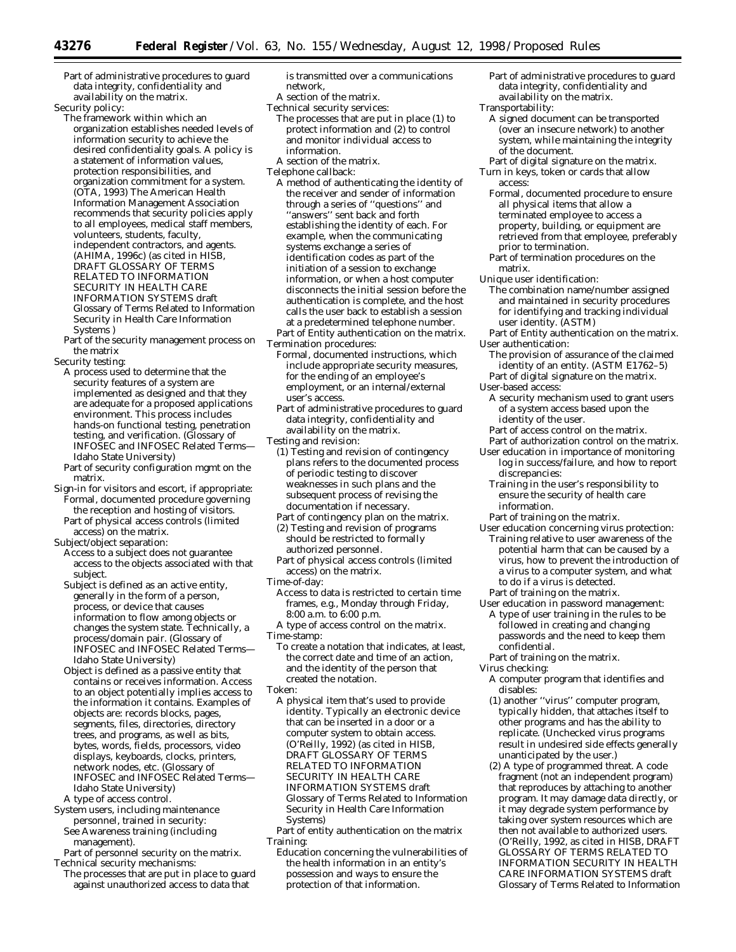Part of administrative procedures to guard data integrity, confidentiality and availability on the matrix.

Security policy:

The framework within which an organization establishes needed levels of information security to achieve the desired confidentiality goals. A policy is a statement of information values, protection responsibilities, and organization commitment for a system. (OTA, 1993) The American Health Information Management Association recommends that security policies apply to all employees, medical staff members, volunteers, students, faculty, independent contractors, and agents. (AHIMA, 1996c) (as cited in HISB, DRAFT GLOSSARY OF TERMS RELATED TO INFORMATION SECURITY IN HEALTH CARE INFORMATION SYSTEMS draft Glossary of Terms Related to Information Security in Health Care Information Systems )

Part of the security management process on the matrix

Security testing:

- A process used to determine that the security features of a system are implemented as designed and that they are adequate for a proposed applications environment. This process includes hands-on functional testing, penetration testing, and verification. (Glossary of INFOSEC and INFOSEC Related Terms— Idaho State University)
- Part of security configuration mgmt on the matrix.
- Sign-in for visitors and escort, if appropriate: Formal, documented procedure governing the reception and hosting of visitors.
- Part of physical access controls (limited access) on the matrix.

Subject/object separation:

Access to a subject does not guarantee access to the objects associated with that subject.

- Subject is defined as an active entity, generally in the form of a person, process, or device that causes information to flow among objects or changes the system state. Technically, a process/domain pair. (Glossary of INFOSEC and INFOSEC Related Terms— Idaho State University)
- Object is defined as a passive entity that contains or receives information. Access to an object potentially implies access to the information it contains. Examples of objects are: records blocks, pages, segments, files, directories, directory trees, and programs, as well as bits, bytes, words, fields, processors, video displays, keyboards, clocks, printers, network nodes, etc. (Glossary of INFOSEC and INFOSEC Related Terms— Idaho State University) A type of access control.
- System users, including maintenance personnel, trained in security: See Awareness training (including management).
- Part of personnel security on the matrix. Technical security mechanisms:
- The processes that are put in place to guard against unauthorized access to data that

is transmitted over a communications network,

- A section of the matrix.
- Technical security services: The processes that are put in place (1) to protect information and (2) to control and monitor individual access to information.
- A section of the matrix.
- Telephone callback:
- A method of authenticating the identity of the receiver and sender of information through a series of ''questions'' and ''answers'' sent back and forth establishing the identity of each. For example, when the communicating systems exchange a series of identification codes as part of the initiation of a session to exchange information, or when a host computer disconnects the initial session before the authentication is complete, and the host calls the user back to establish a session at a predetermined telephone number.
- Part of Entity authentication on the matrix. Termination procedures:
- Formal, documented instructions, which include appropriate security measures, for the ending of an employee's employment, or an internal/external user's access.
- Part of administrative procedures to guard data integrity, confidentiality and availability on the matrix.
- Testing and revision:
- (1) Testing and revision of contingency plans refers to the documented process of periodic testing to discover weaknesses in such plans and the subsequent process of revising the documentation if necessary.
- Part of contingency plan on the matrix.
- (2) Testing and revision of programs should be restricted to formally authorized personnel.
- Part of physical access controls (limited access) on the matrix.
- Time-of-day:
	- Access to data is restricted to certain time frames, e.g., Monday through Friday, 8:00 a.m. to 6:00 p.m.
- A type of access control on the matrix. Time-stamp:

To create a notation that indicates, at least, the correct date and time of an action, and the identity of the person that created the notation.

- Token:
	- A physical item that's used to provide identity. Typically an electronic device that can be inserted in a door or a computer system to obtain access. (O'Reilly, 1992) (as cited in HISB, DRAFT GLOSSARY OF TERMS RELATED TO INFORMATION SECURITY IN HEALTH CARE INFORMATION SYSTEMS draft Glossary of Terms Related to Information Security in Health Care Information Systems)
- Part of entity authentication on the matrix Training:
	- Education concerning the vulnerabilities of the health information in an entity's possession and ways to ensure the protection of that information.
- Part of administrative procedures to guard data integrity, confidentiality and availability on the matrix.
- Transportability: A signed document can be transported
	- (over an insecure network) to another system, while maintaining the integrity of the document.
- Part of digital signature on the matrix. Turn in keys, token or cards that allow access:
	- Formal, documented procedure to ensure all physical items that allow a terminated employee to access a property, building, or equipment are retrieved from that employee, preferably prior to termination.
	- Part of termination procedures on the matrix.
- Unique user identification:
	- The combination name/number assigned and maintained in security procedures for identifying and tracking individual user identity. (ASTM)
- Part of Entity authentication on the matrix. User authentication:
	- The provision of assurance of the claimed identity of an entity. (ASTM E1762–5)
- Part of digital signature on the matrix. User-based access:
- A security mechanism used to grant users of a system access based upon the identity of the user.
- Part of access control on the matrix.
- Part of authorization control on the matrix.
- User education in importance of monitoring log in success/failure, and how to report discrepancies:
	- Training in the user's responsibility to ensure the security of health care information.
- Part of training on the matrix.
- User education concerning virus protection: Training relative to user awareness of the potential harm that can be caused by a virus, how to prevent the introduction of a virus to a computer system, and what to do if a virus is detected.
- Part of training on the matrix.
- User education in password management: A type of user training in the rules to be followed in creating and changing passwords and the need to keep them confidential.
- Part of training on the matrix.
- Virus checking:
	- A computer program that identifies and disables:
	- (1) another ''virus'' computer program, typically hidden, that attaches itself to other programs and has the ability to replicate. (Unchecked virus programs result in undesired side effects generally unanticipated by the user.)
	- (2) A type of programmed threat. A code fragment (not an independent program) that reproduces by attaching to another program. It may damage data directly, or it may degrade system performance by taking over system resources which are then not available to authorized users. (O'Reilly, 1992, as cited in HISB, DRAFT GLOSSARY OF TERMS RELATED TO INFORMATION SECURITY IN HEALTH CARE INFORMATION SYSTEMS draft Glossary of Terms Related to Information